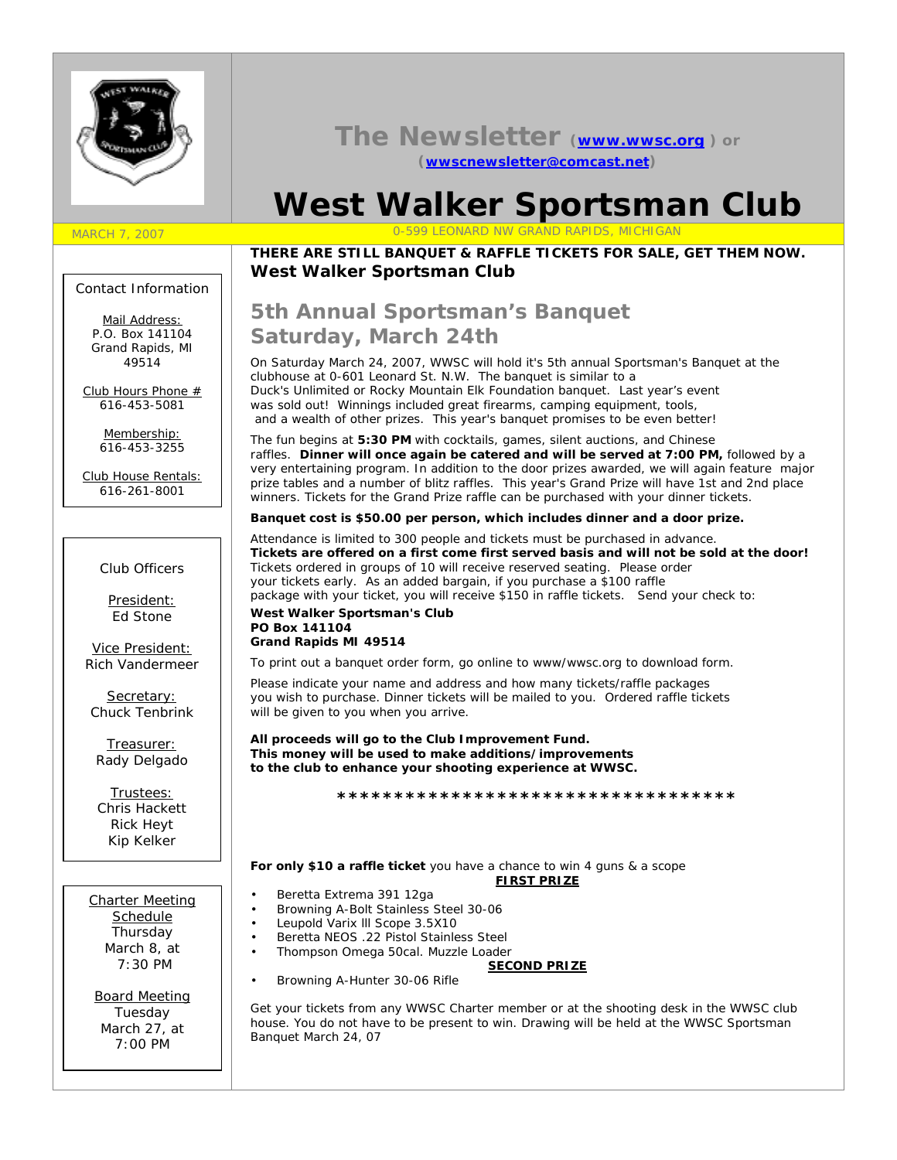

### **The Newsletter (www.wwsc.org ) or (wwscnewsletter@comcast.net)**

# **West Walker Sportsman Club**

### MARCH 7, 2007 0-599 LEONARD NW GRAND RAPIDS, MICHIGAN

### *THERE ARE STILL BANQUET & RAFFLE TICKETS FOR SALE, GET THEM NOW.* **West Walker Sportsman Club**

#### Contact Information

Mail Address: *P.O. Box 141104 Grand Rapids, MI 49514*

Club Hours Phone # *616-453-5081*

> Membership: *616-453-3255*

Club House Rentals: *616-261-8001*

### Club Officers

President: Ed Stone

Vice President: Rich Vandermeer

Secretary: Chuck Tenbrink

Treasurer: Rady Delgado

Trustees: Chris Hackett Rick Heyt Kip Kelker

Charter Meeting Schedule Thursday March 8, at 7:30 PM

Board Meeting Tuesday March 27, at 7:00 PM

## **5th Annual Sportsman's Banquet Saturday, March 24th**

On Saturday March 24, 2007, WWSC will hold it's 5th annual Sportsman's Banquet at the clubhouse at 0-601 Leonard St. N.W. The banquet is similar to a Duck's Unlimited or Rocky Mountain Elk Foundation banquet. Last year's event was sold out! Winnings included great firearms, camping equipment, tools, and a wealth of other prizes. This year's banquet promises to be even better!

The fun begins at **5:30 PM** with cocktails, games, silent auctions, and Chinese raffles. **Dinner will once again be catered and will be served at 7:00 PM,** followed by a very entertaining program. In addition to the door prizes awarded, we will again feature major prize tables and a number of blitz raffles. This year's Grand Prize will have 1st and 2nd place winners. Tickets for the Grand Prize raffle can be purchased with your dinner tickets.

### **Banquet cost is \$50.00 per person, which includes dinner and a door prize.**

Attendance is limited to 300 people and tickets must be purchased in advance. **Tickets are offered on a first come first served basis and will not be sold at the door!** Tickets ordered in groups of 10 will receive reserved seating. Please order your tickets early. As an added bargain, if you purchase a \$100 raffle package with your ticket, you will receive \$150 in raffle tickets. Send your check to:

**\*\*\*\*\*\*\*\*\*\*\*\*\*\*\*\*\*\*\*\*\*\*\*\*\*\*\*\*\*\*\*\*\*\*\***

#### **West Walker Sportsman's Club PO Box 141104 Grand Rapids MI 49514**

To print out a banquet order form, go online to www/wwsc.org to download form.

Please indicate your name and address and how many tickets/raffle packages you wish to purchase. Dinner tickets will be mailed to you. Ordered raffle tickets will be given to you when you arrive.

**All proceeds will go to the Club Improvement Fund. This money will be used to make additions/improvements to the club to enhance your shooting experience at WWSC.**

**For only \$10 a raffle ticket** you have a chance to win 4 guns & a scope **FIRST PRIZE**

- Beretta Extrema 391 12ga
- Browning A-Bolt Stainless Steel 30-06
- Leupold Varix lll Scope 3.5X10
- Beretta NEOS .22 Pistol Stainless Steel
- Thompson Omega 50cal. Muzzle Loader
	- **SECOND PRIZE**
- Browning A-Hunter 30-06 Rifle

*Get your tickets from any WWSC Charter member or at the shooting desk in the WWSC club house. You do not have to be present to win. Drawing will be held at the WWSC Sportsman Banquet March 24, 07*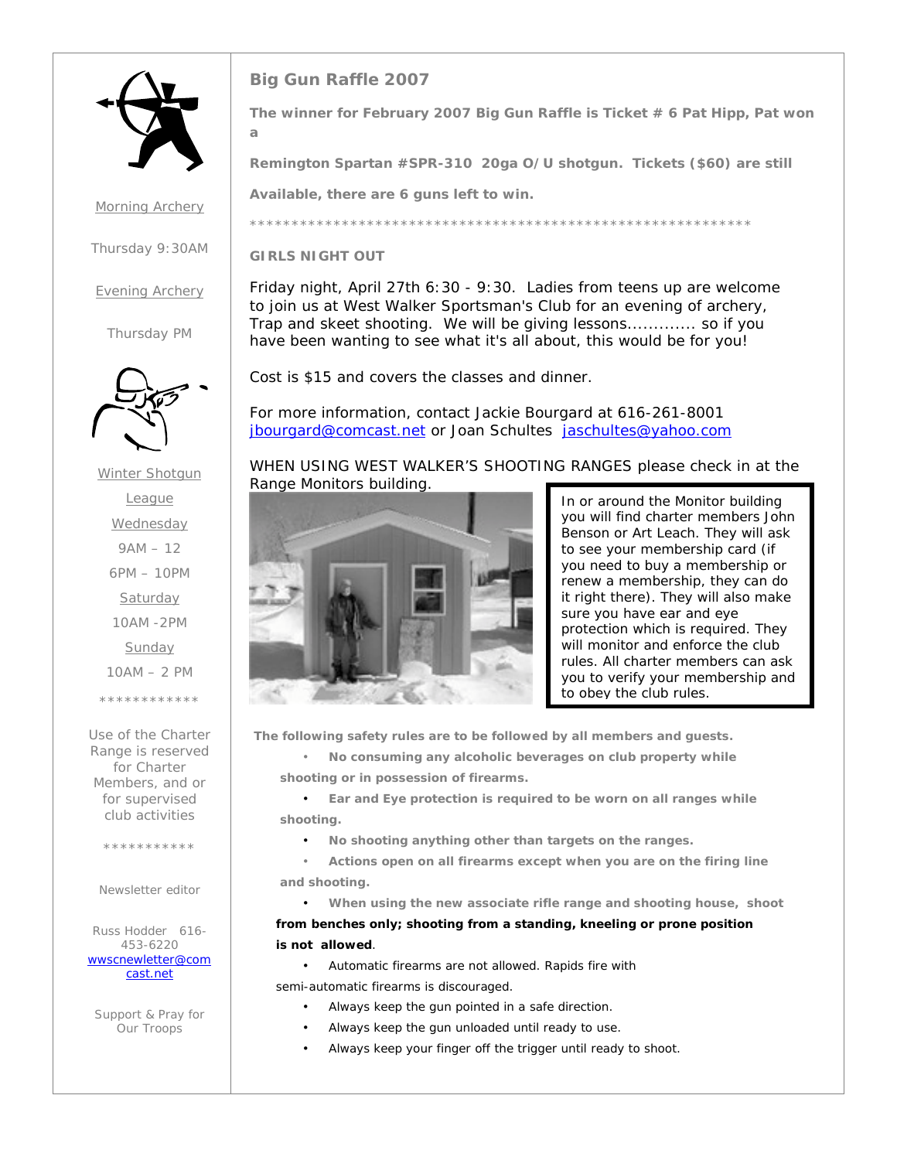

Morning Archery

Thursday 9:30AM

Evening Archery

Thursday PM



Winter Shotgun League **Wednesday** 9AM – 12 6PM – 10PM **Saturday** 10AM -2PM **Sunday** 10AM – 2 PM \*\*\*\*\*\*\*\*\*\*\*\*

Use of the Charter Range is reserved for Charter Members, and or for supervised club activities

\*\*\*\*\*\*\*\*\*\*\*

Newsletter editor

Russ Hodder 616- 453-6220 *wwscnewletter@com cast.net*

Support & Pray for Our Troops

### **Big Gun Raffle 2007**

**The winner for February 2007 Big Gun Raffle is Ticket # 6 Pat Hipp, Pat won a**

**Remington Spartan #SPR-310 20ga O/U shotgun. Tickets (\$60) are still**

**Available, there are 6 guns left to win.**

\*\*\*\*\*\*\*\*\*\*\*\*\*\*\*\*\*\*\*\*\*\*\*\*\*\*\*\*\*\*\*\*\*\*\*\*\*\*\*\*\*\*\*\*\*\*\*\*\*\*\*\*\*\*\*\*\*\*\*\*

**GIRLS NIGHT OUT**

Friday night, April 27th 6:30 - 9:30. Ladies from teens up are welcome to join us at West Walker Sportsman's Club for an evening of archery, Trap and skeet shooting. We will be giving lessons............. so if you have been wanting to see what it's all about, this would be for you!

Cost is \$15 and covers the classes and dinner.

For more information, contact Jackie Bourgard at 616-261-8001 jbourgard@comcast.net or Joan Schultes jaschultes@yahoo.com

WHEN USING WEST WALKER'S SHOOTING RANGES please check in at the Range Monitors building.



In or around the Monitor building you will find charter members John Benson or Art Leach. They will ask to see your membership card (if you need to buy a membership or renew a membership, they can do it right there). They will also make sure you have ear and eye protection which is required. They will monitor and enforce the club rules. *All charter members can ask you to verify your membership and to obey the club rules.*

**The following safety rules are to be followed by all members and guests.**

• **No consuming any alcoholic beverages on club property while shooting or in possession of firearms.**

• **Ear and Eye protection is required to be worn on all ranges while shooting.**

- **No shooting anything other than targets on the ranges.**
- **Actions open on all firearms except when you are on the firing line and shooting.**

• **When using the new associate rifle range and shooting house, shoot from benches only; shooting from a standing, kneeling or prone position is not allowed**.

• Automatic firearms are not allowed. Rapids fire with

semi-automatic firearms is discouraged.

- Always keep the gun pointed in a safe direction.
- Always keep the gun unloaded until ready to use.
- Always keep your finger off the trigger until ready to shoot.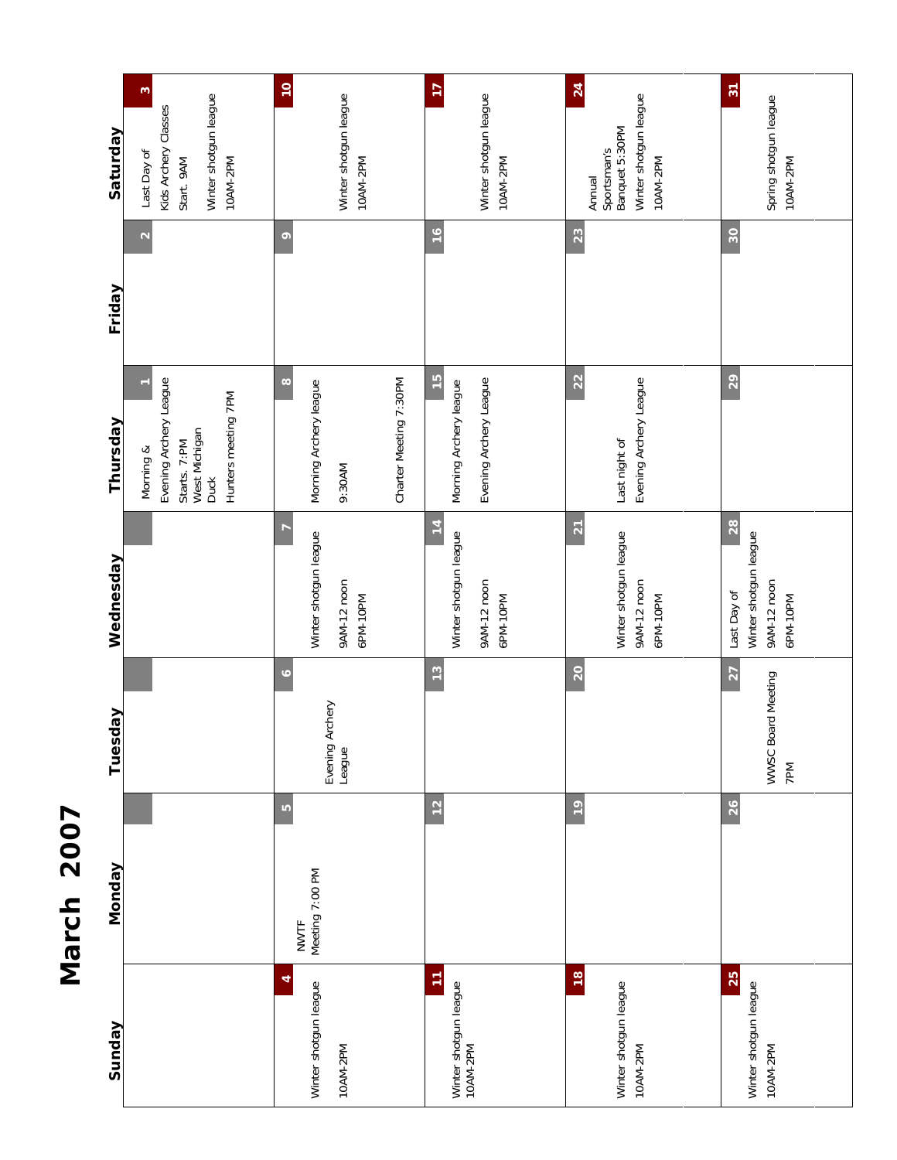| ľ                      |  |
|------------------------|--|
| ľ                      |  |
|                        |  |
| $\mathsf{\Omega}$<br>√ |  |
|                        |  |
| $\zeta$                |  |
| Š                      |  |
|                        |  |
|                        |  |

| Sunday                                             | <b>Monday</b>                        | Tuesday                              | Wednesday                                                             | Thursday                                                                                                   | Friday          | Saturday                                                                                           |
|----------------------------------------------------|--------------------------------------|--------------------------------------|-----------------------------------------------------------------------|------------------------------------------------------------------------------------------------------------|-----------------|----------------------------------------------------------------------------------------------------|
|                                                    |                                      |                                      |                                                                       | Evening Archery League<br>Hunters meeting 7PM<br>West Michigan<br>Starts. 7:PM<br>Morning &<br><b>Duck</b> |                 | $\omega$<br>Winter shotgun league<br>Kids Archery Classes<br>Last Day of<br>Start. 9AM<br>10AM-2PM |
| 4<br>Winter shotgun league<br>10AM-2PM             | LO<br>Meeting 7:00 PM<br><b>NWTF</b> | $\circ$<br>Evening Archery<br>League | F<br>Winter shotgun league<br>9AM-12 noon<br>6PM-10PM                 | $\infty$<br>Charter Meeting 7:30PM<br>Morning Archery league<br>9:30AM                                     | $\circ$         | $\overline{10}$<br>Winter shotgun league<br>10AM-2PM                                               |
| Ξ<br>Winter shotgun league<br>10AM-2PM             | 12                                   | 13                                   | $\frac{1}{4}$<br>Winter shotgun league<br>9AM-12 noon<br>6PM-10PM     | $\frac{1}{2}$<br>Evening Archery League<br>Morning Archery league                                          | $\frac{6}{2}$   | $\overline{17}$<br>Winter shotgun league<br>10AM-2PM                                               |
| $\frac{8}{3}$<br>Winter shotgun league<br>10AM-2PM | $\overline{1}$                       | 20                                   | $\overline{2}$<br>Winter shotgun league<br>9AM-12 noon<br>6PM-10PM    | 22<br>Evening Archery League<br>Last night of                                                              | 23              | 24<br>Winter shotgun league<br>Annual<br>Sportsman's<br>Banquet 5:30PM<br>10AM-2PM                 |
| 25<br>Winter shotgun league<br>10AM-2PM            | 26                                   | 27<br>WWSC Board Meeting<br>7PM      | 28<br>Winter shotgun league<br>9AM-12 noon<br>Last Day of<br>6PM-10PM | 29                                                                                                         | 30 <sub>o</sub> | $\overline{\mathbb{S}}$<br>Spring shotgun league<br>10AM-2PM                                       |